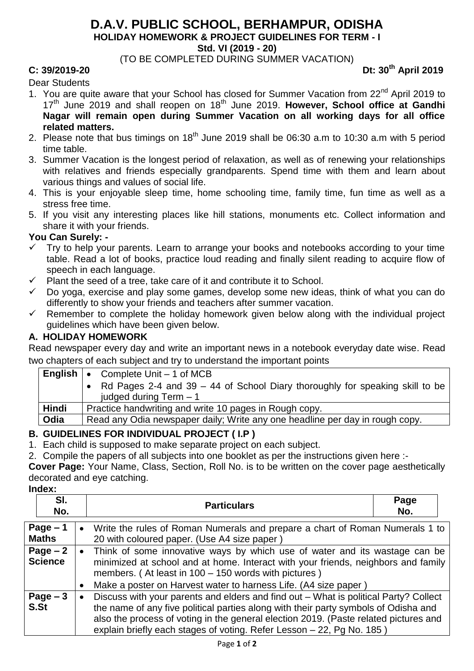# **D.A.V. PUBLIC SCHOOL, BERHAMPUR, ODISHA**

**HOLIDAY HOMEWORK & PROJECT GUIDELINES FOR TERM - I**

**Std. VI (2019 - 20)**

(TO BE COMPLETED DURING SUMMER VACATION)

**C: 39/2019-20 Dt: 30th April 2019**

### Dear Students

- 1. You are quite aware that your School has closed for Summer Vacation from 22<sup>nd</sup> April 2019 to 17th June 2019 and shall reopen on 18th June 2019. **However, School office at Gandhi Nagar will remain open during Summer Vacation on all working days for all office related matters.**
- 2. Please note that bus timings on  $18<sup>th</sup>$  June 2019 shall be 06:30 a.m to 10:30 a.m with 5 period time table.
- 3. Summer Vacation is the longest period of relaxation, as well as of renewing your relationships with relatives and friends especially grandparents. Spend time with them and learn about various things and values of social life.
- 4. This is your enjoyable sleep time, home schooling time, family time, fun time as well as a stress free time.
- 5. If you visit any interesting places like hill stations, monuments etc. Collect information and share it with your friends.

#### **You Can Surely: -**

- $\checkmark$  Try to help your parents. Learn to arrange your books and notebooks according to your time table. Read a lot of books, practice loud reading and finally silent reading to acquire flow of speech in each language.
- $\checkmark$  Plant the seed of a tree, take care of it and contribute it to School.
- $\checkmark$  Do yoga, exercise and play some games, develop some new ideas, think of what you can do differently to show your friends and teachers after summer vacation.
- $\checkmark$  Remember to complete the holiday homework given below along with the individual project guidelines which have been given below.

### **A. HOLIDAY HOMEWORK**

Read newspaper every day and write an important news in a notebook everyday date wise. Read two chapters of each subject and try to understand the important points

|       | <b>English <math>\cdot</math></b> Complete Unit $-1$ of MCB                                                |  |
|-------|------------------------------------------------------------------------------------------------------------|--|
|       | • Rd Pages 2-4 and 39 – 44 of School Diary thoroughly for speaking skill to be<br>judged during $Term - 1$ |  |
| Hindi | Practice handwriting and write 10 pages in Rough copy.                                                     |  |
| Odia  | Read any Odia newspaper daily; Write any one headline per day in rough copy.                               |  |

### **B. GUIDELINES FOR INDIVIDUAL PROJECT ( I.P )**

1. Each child is supposed to make separate project on each subject.

2. Compile the papers of all subjects into one booklet as per the instructions given here :-

**Cover Page:** Your Name, Class, Section, Roll No. is to be written on the cover page aesthetically decorated and eye catching.

**Index:**

| SI.<br>No.                  |                        | <b>Particulars</b>                                                                                                                                                                                                                                                                        | Page<br>No. |  |
|-----------------------------|------------------------|-------------------------------------------------------------------------------------------------------------------------------------------------------------------------------------------------------------------------------------------------------------------------------------------|-------------|--|
| Page $-1$<br><b>Maths</b>   | $\bullet$              | Write the rules of Roman Numerals and prepare a chart of Roman Numerals 1 to<br>20 with coloured paper. (Use A4 size paper)                                                                                                                                                               |             |  |
| Page $-2$<br><b>Science</b> | $\bullet$<br>$\bullet$ | Think of some innovative ways by which use of water and its wastage can be<br>minimized at school and at home. Interact with your friends, neighbors and family<br>members. (At least in 100 - 150 words with pictures)<br>Make a poster on Harvest water to harness Life. (A4 size paper |             |  |
| Page $-3$                   | $\bullet$              | Discuss with your parents and elders and find out - What is political Party? Collect                                                                                                                                                                                                      |             |  |

**S.St**  the name of any five political parties along with their party symbols of Odisha and also the process of voting in the general election 2019. (Paste related pictures and explain briefly each stages of voting. Refer Lesson – 22, Pg No. 185 )